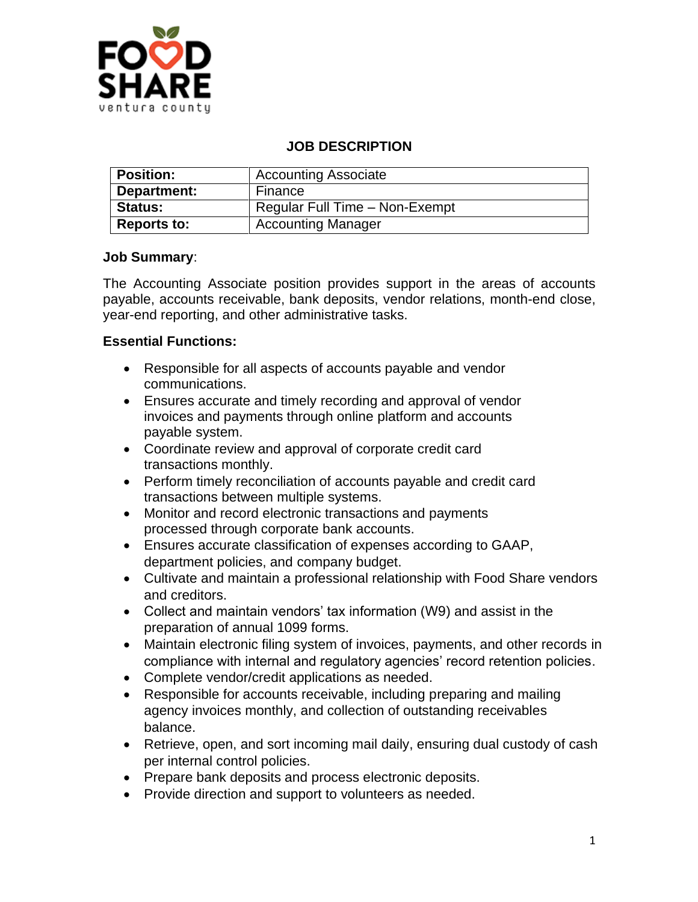

## **JOB DESCRIPTION**

| <b>Position:</b>   | <b>Accounting Associate</b>    |
|--------------------|--------------------------------|
| Department:        | Finance                        |
| <b>Status:</b>     | Regular Full Time - Non-Exempt |
| <b>Reports to:</b> | <b>Accounting Manager</b>      |

#### **Job Summary**:

The Accounting Associate position provides support in the areas of accounts payable, accounts receivable, bank deposits, vendor relations, month-end close, year-end reporting, and other administrative tasks.

#### **Essential Functions:**

- Responsible for all aspects of accounts payable and vendor communications.
- Ensures accurate and timely recording and approval of vendor invoices and payments through online platform and accounts payable system.
- Coordinate review and approval of corporate credit card transactions monthly.
- Perform timely reconciliation of accounts payable and credit card transactions between multiple systems.
- Monitor and record electronic transactions and payments processed through corporate bank accounts.
- Ensures accurate classification of expenses according to GAAP, department policies, and company budget.
- Cultivate and maintain a professional relationship with Food Share vendors and creditors.
- Collect and maintain vendors' tax information (W9) and assist in the preparation of annual 1099 forms.
- Maintain electronic filing system of invoices, payments, and other records in compliance with internal and regulatory agencies' record retention policies.
- Complete vendor/credit applications as needed.
- Responsible for accounts receivable, including preparing and mailing agency invoices monthly, and collection of outstanding receivables balance.
- Retrieve, open, and sort incoming mail daily, ensuring dual custody of cash per internal control policies.
- Prepare bank deposits and process electronic deposits.
- Provide direction and support to volunteers as needed.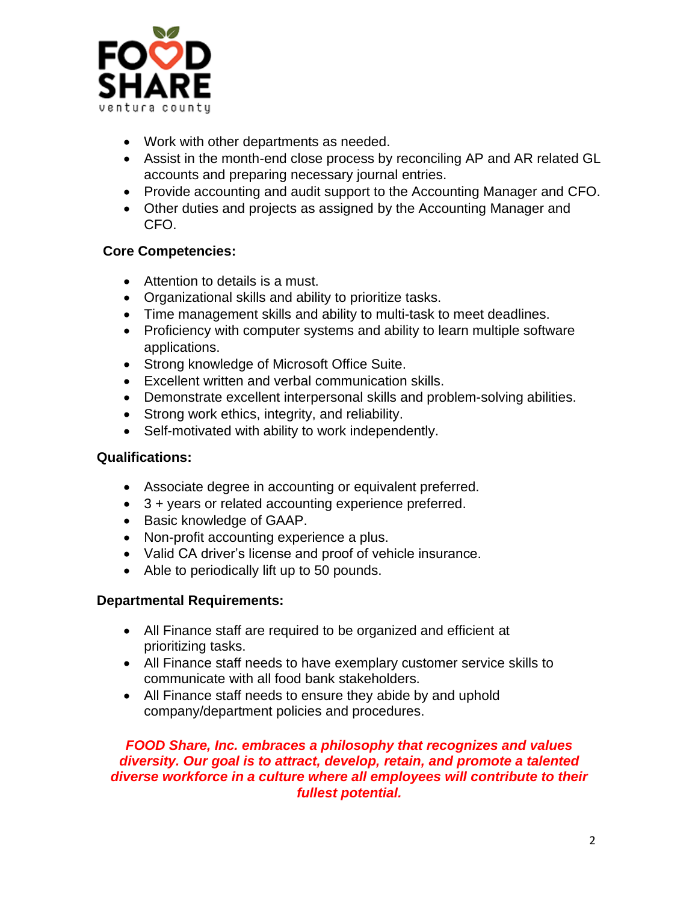

- Work with other departments as needed.
- Assist in the month-end close process by reconciling AP and AR related GL accounts and preparing necessary journal entries.
- Provide accounting and audit support to the Accounting Manager and CFO.
- Other duties and projects as assigned by the Accounting Manager and CFO.

# **Core Competencies:**

- Attention to details is a must.
- Organizational skills and ability to prioritize tasks.
- Time management skills and ability to multi-task to meet deadlines.
- Proficiency with computer systems and ability to learn multiple software applications.
- Strong knowledge of Microsoft Office Suite.
- Excellent written and verbal communication skills.
- Demonstrate excellent interpersonal skills and problem-solving abilities.
- Strong work ethics, integrity, and reliability.
- Self-motivated with ability to work independently.

#### **Qualifications:**

- Associate degree in accounting or equivalent preferred.
- 3 + years or related accounting experience preferred.
- Basic knowledge of GAAP.
- Non-profit accounting experience a plus.
- Valid CA driver's license and proof of vehicle insurance.
- Able to periodically lift up to 50 pounds.

# **Departmental Requirements:**

- All Finance staff are required to be organized and efficient at prioritizing tasks.
- All Finance staff needs to have exemplary customer service skills to communicate with all food bank stakeholders.
- All Finance staff needs to ensure they abide by and uphold company/department policies and procedures.

## *FOOD Share, Inc. embraces a philosophy that recognizes and values diversity. Our goal is to attract, develop, retain, and promote a talented diverse workforce in a culture where all employees will contribute to their fullest potential.*